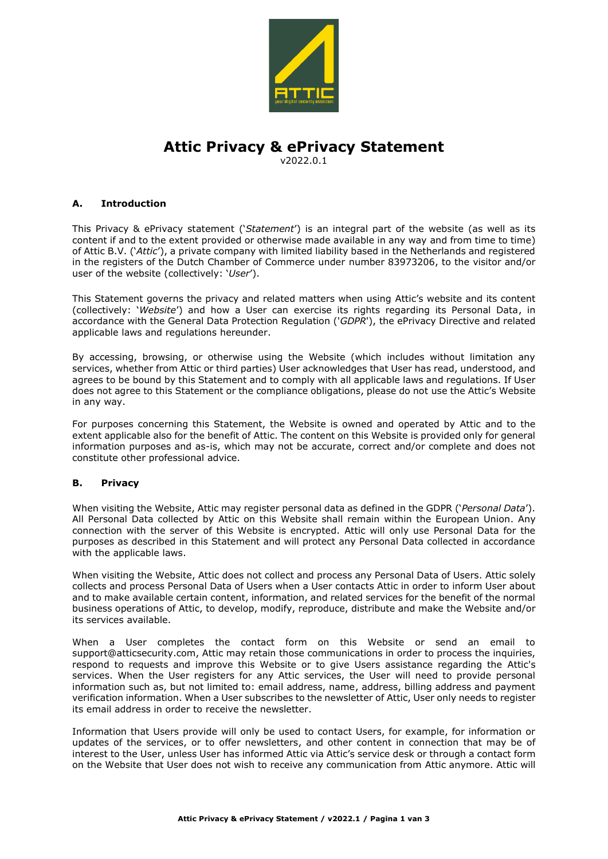

# **Attic Privacy & ePrivacy Statement**

v2022.0.1

## **A. Introduction**

This Privacy & ePrivacy statement ('*Statement*') is an integral part of the website (as well as its content if and to the extent provided or otherwise made available in any way and from time to time) of Attic B.V. ('*Attic*'), a private company with limited liability based in the Netherlands and registered in the registers of the Dutch Chamber of Commerce under number 83973206, to the visitor and/or user of the website (collectively: '*User*').

This Statement governs the privacy and related matters when using Attic's website and its content (collectively: '*Website*') and how a User can exercise its rights regarding its Personal Data, in accordance with the General Data Protection Regulation ('*GDPR*'), the ePrivacy Directive and related applicable laws and regulations hereunder.

By accessing, browsing, or otherwise using the Website (which includes without limitation any services, whether from Attic or third parties) User acknowledges that User has read, understood, and agrees to be bound by this Statement and to comply with all applicable laws and regulations. If User does not agree to this Statement or the compliance obligations, please do not use the Attic's Website in any way.

For purposes concerning this Statement, the Website is owned and operated by Attic and to the extent applicable also for the benefit of Attic. The content on this Website is provided only for general information purposes and as-is, which may not be accurate, correct and/or complete and does not constitute other professional advice.

## **B. Privacy**

When visiting the Website, Attic may register personal data as defined in the GDPR ('*Personal Data*'). All Personal Data collected by Attic on this Website shall remain within the European Union. Any connection with the server of this Website is encrypted. Attic will only use Personal Data for the purposes as described in this Statement and will protect any Personal Data collected in accordance with the applicable laws.

When visiting the Website, Attic does not collect and process any Personal Data of Users. Attic solely collects and process Personal Data of Users when a User contacts Attic in order to inform User about and to make available certain content, information, and related services for the benefit of the normal business operations of Attic, to develop, modify, reproduce, distribute and make the Website and/or its services available.

When a User completes the contact form on this Website or send an email to support@atticsecurity.com, Attic may retain those communications in order to process the inquiries, respond to requests and improve this Website or to give Users assistance regarding the Attic's services. When the User registers for any Attic services, the User will need to provide personal information such as, but not limited to: email address, name, address, billing address and payment verification information. When a User subscribes to the newsletter of Attic, User only needs to register its email address in order to receive the newsletter.

Information that Users provide will only be used to contact Users, for example, for information or updates of the services, or to offer newsletters, and other content in connection that may be of interest to the User, unless User has informed Attic via Attic's service desk or through a contact form on the Website that User does not wish to receive any communication from Attic anymore. Attic will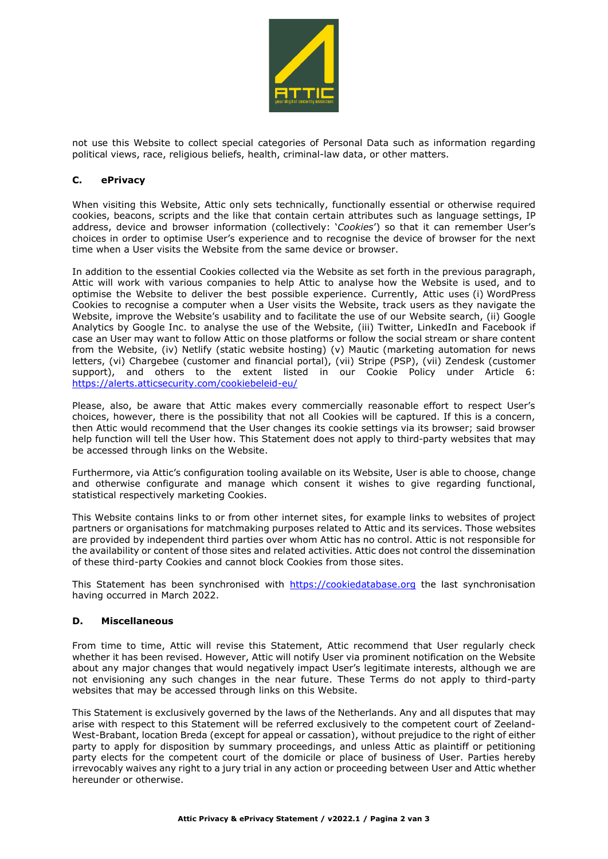

not use this Website to collect special categories of Personal Data such as information regarding political views, race, religious beliefs, health, criminal-law data, or other matters.

### **C. ePrivacy**

When visiting this Website, Attic only sets technically, functionally essential or otherwise required cookies, beacons, scripts and the like that contain certain attributes such as language settings, IP address, device and browser information (collectively: '*Cookies*') so that it can remember User's choices in order to optimise User's experience and to recognise the device of browser for the next time when a User visits the Website from the same device or browser.

In addition to the essential Cookies collected via the Website as set forth in the previous paragraph, Attic will work with various companies to help Attic to analyse how the Website is used, and to optimise the Website to deliver the best possible experience. Currently, Attic uses (i) WordPress Cookies to recognise a computer when a User visits the Website, track users as they navigate the Website, improve the Website's usability and to facilitate the use of our Website search, (ii) Google Analytics by Google Inc. to analyse the use of the Website, (iii) Twitter, LinkedIn and Facebook if case an User may want to follow Attic on those platforms or follow the social stream or share content from the Website, (iv) Netlify (static website hosting) (v) Mautic (marketing automation for news letters, (vi) Chargebee (customer and financial portal), (vii) Stripe (PSP), (vii) Zendesk (customer support), and others to the extent listed in our Cookie Policy under Article 6: <https://alerts.atticsecurity.com/cookiebeleid-eu/>

Please, also, be aware that Attic makes every commercially reasonable effort to respect User's choices, however, there is the possibility that not all Cookies will be captured. If this is a concern, then Attic would recommend that the User changes its cookie settings via its browser; said browser help function will tell the User how. This Statement does not apply to third-party websites that may be accessed through links on the Website.

Furthermore, via Attic's configuration tooling available on its Website, User is able to choose, change and otherwise configurate and manage which consent it wishes to give regarding functional, statistical respectively marketing Cookies.

This Website contains links to or from other internet sites, for example links to websites of project partners or organisations for matchmaking purposes related to Attic and its services. Those websites are provided by independent third parties over whom Attic has no control. Attic is not responsible for the availability or content of those sites and related activities. Attic does not control the dissemination of these third-party Cookies and cannot block Cookies from those sites.

This Statement has been synchronised with [https://cookiedatabase.org](https://cookiedatabase.org/) the last synchronisation having occurred in March 2022.

#### **D. Miscellaneous**

From time to time, Attic will revise this Statement, Attic recommend that User regularly check whether it has been revised. However, Attic will notify User via prominent notification on the Website about any major changes that would negatively impact User's legitimate interests, although we are not envisioning any such changes in the near future. These Terms do not apply to third-party websites that may be accessed through links on this Website.

This Statement is exclusively governed by the laws of the Netherlands. Any and all disputes that may arise with respect to this Statement will be referred exclusively to the competent court of Zeeland-West-Brabant, location Breda (except for appeal or cassation), without prejudice to the right of either party to apply for disposition by summary proceedings, and unless Attic as plaintiff or petitioning party elects for the competent court of the domicile or place of business of User. Parties hereby irrevocably waives any right to a jury trial in any action or proceeding between User and Attic whether hereunder or otherwise.